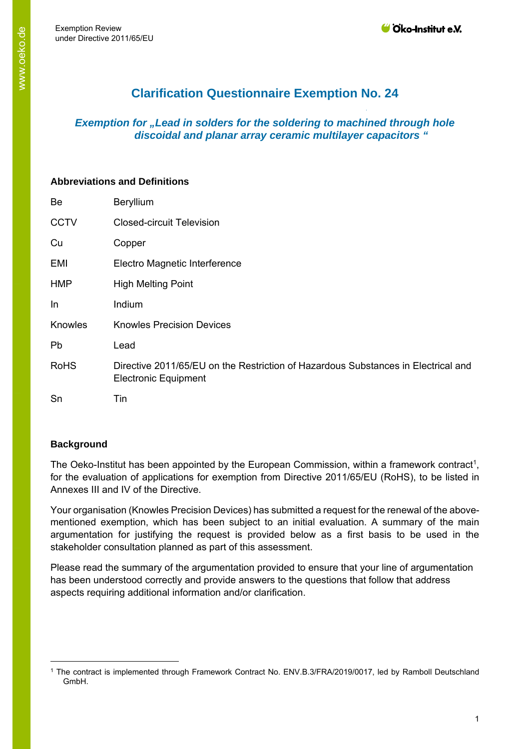# **Clarification Questionnaire Exemption No. 24**

# *Exemption for "Lead in solders for the soldering to machined through hole discoidal and planar array ceramic multilayer capacitors "*

#### **Abbreviations and Definitions**

| Be          | Beryllium                                                                                                        |
|-------------|------------------------------------------------------------------------------------------------------------------|
| <b>CCTV</b> | <b>Closed-circuit Television</b>                                                                                 |
| Cu          | Copper                                                                                                           |
| EMI         | Electro Magnetic Interference                                                                                    |
| <b>HMP</b>  | <b>High Melting Point</b>                                                                                        |
| In          | Indium                                                                                                           |
| Knowles     | <b>Knowles Precision Devices</b>                                                                                 |
| Pb          | Lead                                                                                                             |
| <b>RoHS</b> | Directive 2011/65/EU on the Restriction of Hazardous Substances in Electrical and<br><b>Electronic Equipment</b> |
| Sn          | Tin                                                                                                              |

#### **Background**

The Oeko-Institut has been appointed by the European Commission, within a framework contract<sup>1</sup>, for the evaluation of applications for exemption from Directive 2011/65/EU (RoHS), to be listed in Annexes III and IV of the Directive.

Your organisation (Knowles Precision Devices) has submitted a request for the renewal of the abovementioned exemption, which has been subject to an initial evaluation. A summary of the main argumentation for justifying the request is provided below as a first basis to be used in the stakeholder consultation planned as part of this assessment.

Please read the summary of the argumentation provided to ensure that your line of argumentation has been understood correctly and provide answers to the questions that follow that address aspects requiring additional information and/or clarification.

<sup>1</sup> The contract is implemented through Framework Contract No. ENV.B.3/FRA/2019/0017, led by Ramboll Deutschland GmbH.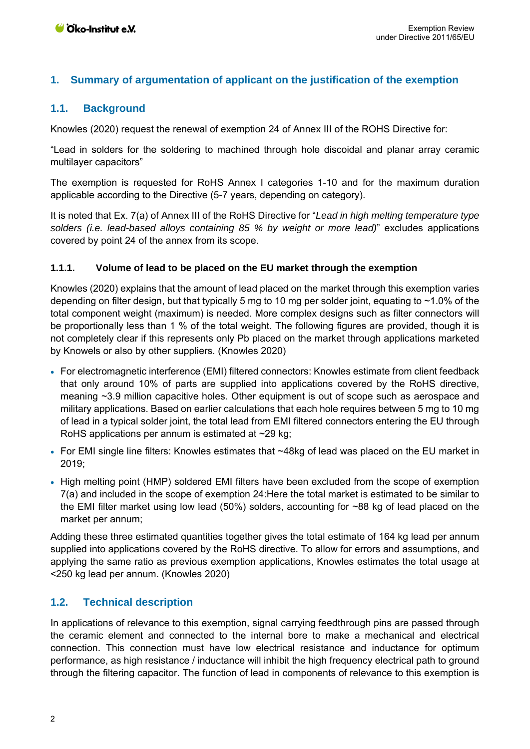## **1. Summary of argumentation of applicant on the justification of the exemption**

### **1.1. Background**

Knowles (2020) request the renewal of exemption 24 of Annex III of the ROHS Directive for:

"Lead in solders for the soldering to machined through hole discoidal and planar array ceramic multilayer capacitors"

The exemption is requested for RoHS Annex I categories 1-10 and for the maximum duration applicable according to the Directive (5-7 years, depending on category).

It is noted that Ex. 7(a) of Annex III of the RoHS Directive for "*Lead in high melting temperature type solders (i.e. lead-based alloys containing 85 % by weight or more lead)*" excludes applications covered by point 24 of the annex from its scope.

#### **1.1.1. Volume of lead to be placed on the EU market through the exemption**

Knowles (2020) explains that the amount of lead placed on the market through this exemption varies depending on filter design, but that typically 5 mg to 10 mg per solder joint, equating to ~1.0% of the total component weight (maximum) is needed. More complex designs such as filter connectors will be proportionally less than 1 % of the total weight. The following figures are provided, though it is not completely clear if this represents only Pb placed on the market through applications marketed by Knowels or also by other suppliers. (Knowles 2020)

- For electromagnetic interference (EMI) filtered connectors: Knowles estimate from client feedback that only around 10% of parts are supplied into applications covered by the RoHS directive, meaning ~3.9 million capacitive holes. Other equipment is out of scope such as aerospace and military applications. Based on earlier calculations that each hole requires between 5 mg to 10 mg of lead in a typical solder joint, the total lead from EMI filtered connectors entering the EU through RoHS applications per annum is estimated at ~29 kg;
- For EMI single line filters: Knowles estimates that ~48kg of lead was placed on the EU market in 2019;
- High melting point (HMP) soldered EMI filters have been excluded from the scope of exemption 7(a) and included in the scope of exemption 24:Here the total market is estimated to be similar to the EMI filter market using low lead (50%) solders, accounting for ~88 kg of lead placed on the market per annum;

Adding these three estimated quantities together gives the total estimate of 164 kg lead per annum supplied into applications covered by the RoHS directive. To allow for errors and assumptions, and applying the same ratio as previous exemption applications, Knowles estimates the total usage at <250 kg lead per annum. (Knowles 2020)

#### **1.2. Technical description**

In applications of relevance to this exemption, signal carrying feedthrough pins are passed through the ceramic element and connected to the internal bore to make a mechanical and electrical connection. This connection must have low electrical resistance and inductance for optimum performance, as high resistance / inductance will inhibit the high frequency electrical path to ground through the filtering capacitor. The function of lead in components of relevance to this exemption is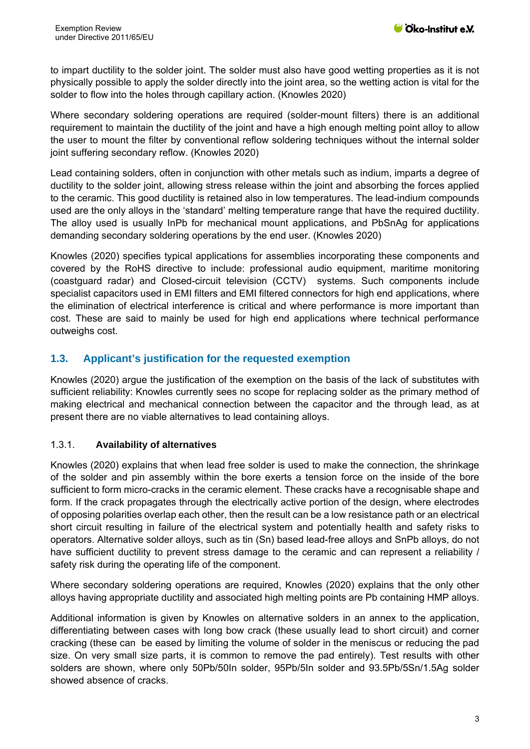to impart ductility to the solder joint. The solder must also have good wetting properties as it is not physically possible to apply the solder directly into the joint area, so the wetting action is vital for the solder to flow into the holes through capillary action. (Knowles 2020)

Where secondary soldering operations are required (solder-mount filters) there is an additional requirement to maintain the ductility of the joint and have a high enough melting point alloy to allow the user to mount the filter by conventional reflow soldering techniques without the internal solder joint suffering secondary reflow. (Knowles 2020)

Lead containing solders, often in conjunction with other metals such as indium, imparts a degree of ductility to the solder joint, allowing stress release within the joint and absorbing the forces applied to the ceramic. This good ductility is retained also in low temperatures. The lead-indium compounds used are the only alloys in the 'standard' melting temperature range that have the required ductility. The alloy used is usually InPb for mechanical mount applications, and PbSnAg for applications demanding secondary soldering operations by the end user. (Knowles 2020)

Knowles (2020) specifies typical applications for assemblies incorporating these components and covered by the RoHS directive to include: professional audio equipment, maritime monitoring (coastguard radar) and Closed-circuit television (CCTV) systems. Such components include specialist capacitors used in EMI filters and EMI filtered connectors for high end applications, where the elimination of electrical interference is critical and where performance is more important than cost. These are said to mainly be used for high end applications where technical performance outweighs cost.

## **1.3. Applicant's justification for the requested exemption**

Knowles (2020) argue the justification of the exemption on the basis of the lack of substitutes with sufficient reliability: Knowles currently sees no scope for replacing solder as the primary method of making electrical and mechanical connection between the capacitor and the through lead, as at present there are no viable alternatives to lead containing alloys.

#### 1.3.1. **Availability of alternatives**

Knowles (2020) explains that when lead free solder is used to make the connection, the shrinkage of the solder and pin assembly within the bore exerts a tension force on the inside of the bore sufficient to form micro-cracks in the ceramic element. These cracks have a recognisable shape and form. If the crack propagates through the electrically active portion of the design, where electrodes of opposing polarities overlap each other, then the result can be a low resistance path or an electrical short circuit resulting in failure of the electrical system and potentially health and safety risks to operators. Alternative solder alloys, such as tin (Sn) based lead-free alloys and SnPb alloys, do not have sufficient ductility to prevent stress damage to the ceramic and can represent a reliability / safety risk during the operating life of the component.

Where secondary soldering operations are required, Knowles (2020) explains that the only other alloys having appropriate ductility and associated high melting points are Pb containing HMP alloys.

Additional information is given by Knowles on alternative solders in an annex to the application, differentiating between cases with long bow crack (these usually lead to short circuit) and corner cracking (these can be eased by limiting the volume of solder in the meniscus or reducing the pad size. On very small size parts, it is common to remove the pad entirely). Test results with other solders are shown, where only 50Pb/50In solder, 95Pb/5In solder and 93.5Pb/5Sn/1.5Ag solder showed absence of cracks.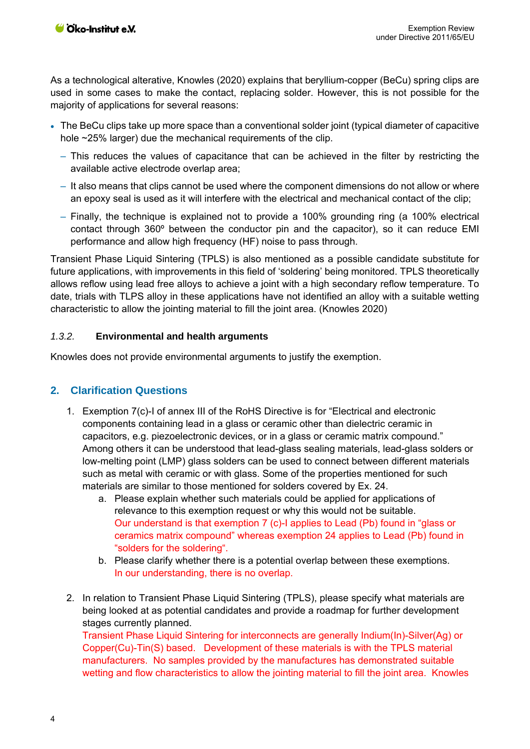As a technological alterative, Knowles (2020) explains that beryllium-copper (BeCu) spring clips are used in some cases to make the contact, replacing solder. However, this is not possible for the majority of applications for several reasons:

- The BeCu clips take up more space than a conventional solder joint (typical diameter of capacitive hole ~25% larger) due the mechanical requirements of the clip.
	- ‒ This reduces the values of capacitance that can be achieved in the filter by restricting the available active electrode overlap area;
	- It also means that clips cannot be used where the component dimensions do not allow or where an epoxy seal is used as it will interfere with the electrical and mechanical contact of the clip;
	- ‒ Finally, the technique is explained not to provide a 100% grounding ring (a 100% electrical contact through 360º between the conductor pin and the capacitor), so it can reduce EMI performance and allow high frequency (HF) noise to pass through.

Transient Phase Liquid Sintering (TPLS) is also mentioned as a possible candidate substitute for future applications, with improvements in this field of 'soldering' being monitored. TPLS theoretically allows reflow using lead free alloys to achieve a joint with a high secondary reflow temperature. To date, trials with TLPS alloy in these applications have not identified an alloy with a suitable wetting characteristic to allow the jointing material to fill the joint area. (Knowles 2020)

#### *1.3.2.* **Environmental and health arguments**

Knowles does not provide environmental arguments to justify the exemption.

#### **2. Clarification Questions**

- 1. Exemption 7(c)-I of annex III of the RoHS Directive is for "Electrical and electronic components containing lead in a glass or ceramic other than dielectric ceramic in capacitors, e.g. piezoelectronic devices, or in a glass or ceramic matrix compound." Among others it can be understood that lead-glass sealing materials, lead-glass solders or low-melting point (LMP) glass solders can be used to connect between different materials such as metal with ceramic or with glass. Some of the properties mentioned for such materials are similar to those mentioned for solders covered by Ex. 24.
	- a. Please explain whether such materials could be applied for applications of relevance to this exemption request or why this would not be suitable. Our understand is that exemption 7 (c)-I applies to Lead (Pb) found in "glass or ceramics matrix compound" whereas exemption 24 applies to Lead (Pb) found in "solders for the soldering".
	- b. Please clarify whether there is a potential overlap between these exemptions. In our understanding, there is no overlap.
- 2. In relation to Transient Phase Liquid Sintering (TPLS), please specify what materials are being looked at as potential candidates and provide a roadmap for further development stages currently planned. Transient Phase Liquid Sintering for interconnects are generally Indium(In)-Silver(Ag) or Copper(Cu)-Tin(S) based. Development of these materials is with the TPLS material manufacturers. No samples provided by the manufactures has demonstrated suitable wetting and flow characteristics to allow the jointing material to fill the joint area. Knowles